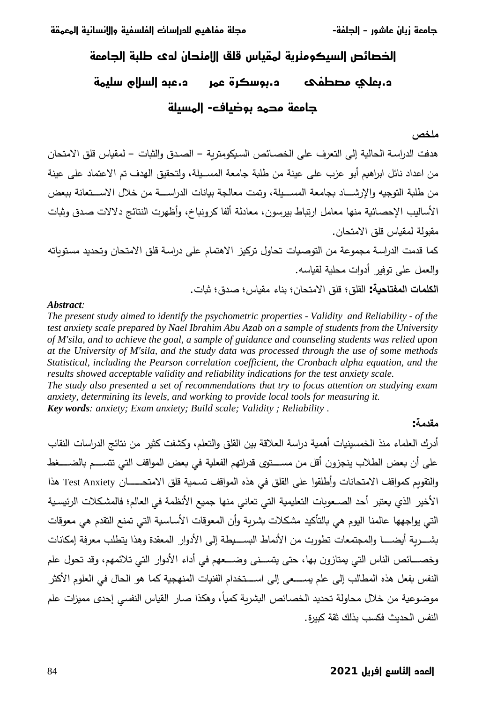**ŜƠƬƔƬƧĒŜƼƯŖżƯǃĒĮ ŜƼƜżƨƜƧĒĕŖŻĒĜŲƨƧƪƼƳŖƜƫŜƨŨƫ -ŜƜƨŨƧĒ –ĜƶſŖƓĬŖƻĝŜƔƫŖŧ**

# الخصائص السيكومنرية لمقياس قلق الامنحان لوي طلبة الجامعة  **ŜƬƼƨŻīDŽżƧĒŲŚƓĚ ŶƬƓĔŶƤŻƶřĚ ƸƜƌƄƫƺƨƔřĚ ŜƨƼżƬƧĒ -ħŖƼƇƶřŲƬŬƫŜƔƫŖŧ**

### ملخص

هدفت الدراسة الحالية إلى التعرف على الخصـائص السيكومتربة – الصـدق والثبات – لمقياس قلق الامتحان من اعداد نائل ابراهيم أبو عزب على عينة من طلبة جامعة المسـيلة، ولتحقيق الهدف تم الاعتماد على عينة من طلبة التوجيه والإرشـــاد بجامعة المســـيلة، وتمت معالجة بيانات الدراســـة من خلال الاســـتعانة ببعض الأساليب الإحصائية منها معامل ارتباط بيرسون، معادلة ألفا كرونباخ، وأظهرت النتائج دلالات صدق وثبات مقبولة لمقياس قلق الامتحان.

كما قدمت الدراسة مجموعة من التوصيات تحاول تركيز الاهتمام على دراسة قلق الامتحان وتحديد مستوياته والعمل على توفير أدوات محلية لقياسه. ا**لكلمات المفتاحية:** القلق؛ قلق الامتحان؛ بناء مقياس؛ صدق؛ ثبات.

#### *Abstract:*

*The present study aimed to identify the psychometric properties - Validity and Reliability - of the test anxiety scale prepared by Nael Ibrahim Abu Azab on a sample of students from the University of M'sila, and to achieve the goal, a sample of guidance and counseling students was relied upon at the University of M'sila, and the study data was processed through the use of some methods Statistical, including the Pearson correlation coefficient, the Cronbach alpha equation, and the results showed acceptable validity and reliability indications for the test anxiety scale.* 

*The study also presented a set of recommendations that try to focus attention on studying exam anxiety, determining its levels, and working to provide local tools for measuring it.* 

*Key words: anxiety; Exam anxiety; Build scale; Validity ; Reliability* .

## **مقدمة :**

أدرك العلماء منذ الخمسينيات أهمية دراسة العلاقة بين القلق والتعلم، وكشفت كثير من نتائج الدراسات النقاب على أن بعض الطلاب ينجزون أقل من مســـتوي قدراتهم الفعلية في بعض المواقف التي تتســـم بالضــــغط والتقويم كمواقف الامتحانات وأطلقوا على القلق في هذه المواقف تسمية قلق الامتحـــــان Test Anxiety هذا الأخير الذي يعتبر أحد الصـعوبات التعليمية التي تعاني منها جميع الأنظمة في العالم؛ فالمشكلات الرئيسية التي يواجهها عالمنا اليوم هي بالتأكيد مشكلات بشربة وأن المعوقات الأساسية التي تمنع التقدم هي معوقات بشــــــربة أيضــــــا والمجتمعات تطورت من الأنماط البســـيطة إلى الأدوار المعقدة وهذا يتطلب معرفة إمكانات وخصـــائص الناس التي يمتازون بها، حتى يتســني وضـــعهم في أداء الأدوار التي تلائمهم، وقد تحول علم النفس بفعل هذه المطالب إلى علم يســــعي إلى اســــتخدام الفنيات المنهجية كما هو الحال في العلوم الأكثر موضوعية من خلال محاولة تحديد الخصائص البشرية كميا، وهكذا صار القياس النفسي إحدى مميزات علم النفس الحديث فكسب بذلك ثقة كبيرة.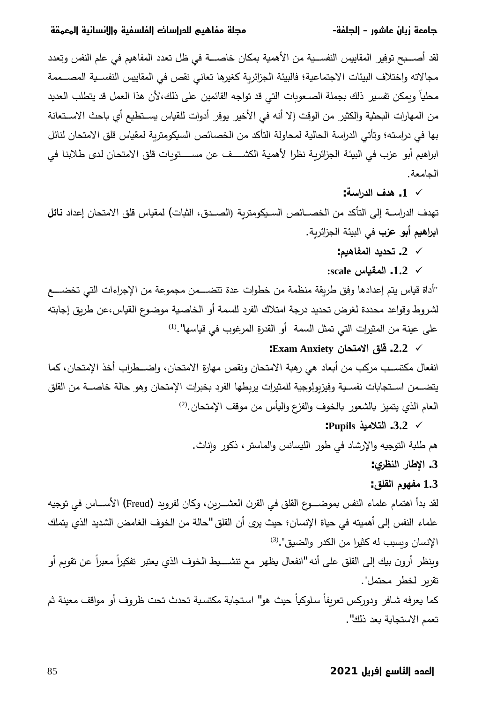لقد أصــــبح توفير المقاييس النفســية من الأهمية بمكان خاصــــة في ظل تعدد المفاهيم في علم النفس وتعدد مجالاته واختلاف البيئات الاجتماعية؛ فالبيئة الجزائربة كغيرها تعانى نقص في المقاييس النفسـية المصــممة محليا وبِمكن تفسير ذلك بجملة الصـعوبات التي قد تواجه القائمين على ذلك،لأن هذا العمل قد يتطلب الـعديد من المهارات البحثية والكثير من الوقت إلا أنه في الأخير يوفر أدوات للقياس يسـتطيع أي باحث الاسـتعانة بها في دراسته؛ وتأتي الدراسة الحالية لمحاولة التأكد من الخصائص السيكومتربة لمقياس قلق الامتحان لنائل ابراهيم أبو عزب في البيئة الجزائربة نظرا لأهمية الكشـــف عن مســـتوبات قلق الامتحان لدى طلابنا في الجامعة.

 **:ŗŪ¦°ʗƃ¦»ʗƋ .1** 9

تهدف الدراســة إلـى التأكد من الخصـــائص السـيكومتربـة (الصــدق، الثبات**)** لمقياس قلق الامتحان إعداد **نائل ابراهيم أبو عزب** في البيئة الجزائربة.

- **:ʤॻʀœŽʸƃ¦ʗƒʗʲř .2** 9
- **:scale²œॻɿʸƃ¦ .1.2** 9

"أداة قياس يتم إعدادها وفق طربقة منظمة من خطوات عدة تتضــــمن مجموعة من الإجراءات التي تخضــــع لشروط وقواعد محددة لغرض تحديد درجة امتلاك الفرد للسمة أو الخاصية موضوع القياس،عن طربق إجابته على عينة من المثيرات التي تمثل السمة أو القدرة المرغوب في قياسها".<sup>(1)</sup>

# **:Exam Anxiety ÀœʲʯƆƙ¦ȖƄſ .2.2** 9 انفعال مكتســب مركب من أبعاد هي رهبة الامتحان ونقص مهارة الامتحان، واضـــطراب أخذ الإمتحان، كما يتضــمن اسـتجابات نفسـية وفيزبولوجية للمثيرات يربطها الفرد بخبرات الإمتحان وهو حالة خاصـــة من القلق

العام الذي يتميز بالشعور بالخوف والفزع واليأس من موقف الإمتحان.<sup>(2)</sup>

 **:PupilsʘʻƆƚʯƃ¦ .3.2** 9

هم طلبة التوجيه والإرشاد في طور الليسانس والماستر ، ذكور وإناث.

# **:ȏʙʢʹƃ¦°œʟƗ¦ .3**

# **:ȖƄƀƃ¦¿ʦƌŽƆ 1.3**

تقرير لخطر محتمل".

لقد بدأ اهتمام علماء النفس بموضــــوع القلق في القرن الـعشـــرين، وكان لفرويد (Freud) الأســــاس في توجيه علماء النفس إلى أهميته في حياة الإنسان؛ حيث يري أن القلق "حالة من الخوف الغامض الشديد الذي يتملك الإنسان ويسبب له كثيرا من الكدر والضيق".<sup>(3)</sup> وينظر أرون بيك إلى القلق على أنه "انفعال يظهر مع تنشــــيط الخوف الذي يعتبر تفكيراً معبراً عن تقويم أو

كما يعرفه شافر ودوركس تعريفا سلوكيا حيث هو" استجابة مكتسبة تحدث تحت ظروف أو مواقف معينة ثم تعمم الاستجابة بعد ذلك".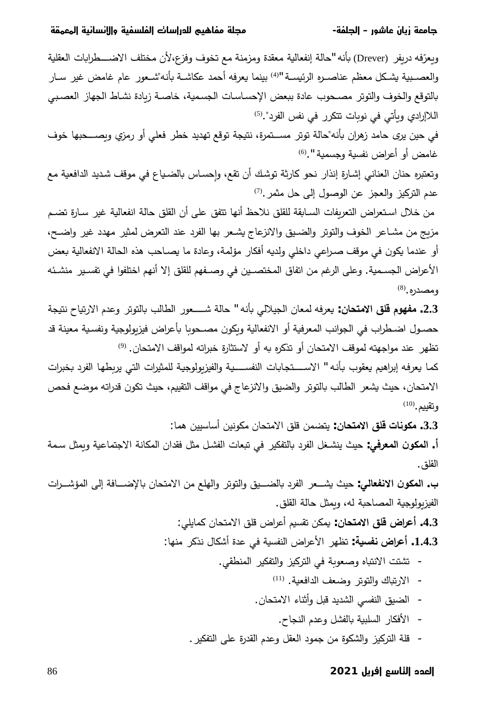ويعرّفه دريفر (Drever) بأنه "حالة إنفعالية معقدة ومزمنة مع تخوف وفزع،لأن مختلف الاضــــــطرابات العقلية والعصـبية يشـكل معظم عناصـره الرئيسـة "<sup>(4)</sup> بينما يعرفه أحمد عكاشـة بأنه"شـعور عام غامض غير سـار بالتوقع والخوف والتوتر مصحوب عادة ببعض الإحساسات الجسمية، خاصـة زبادة نشـاط الجهاز العصببي اللاإرادي ويأتي في نوبات تتكرر في نفس الفرد".<sup>(5)</sup>

في حين يري حامد زهران بأنه"حالة توتر مســتمرة، نتيجة توقع تهديد خطر فعلي أو رمزي وبصـــحبها خوف غامض أو أعراض نفسية وجسمية ".<sup>(6)</sup>

وتعتبره حنان العناني إشارة إنذار نحو كارثة توشك أن تقع، وإحساس بالضياع في موقف شديد الدافعية مع عدم التركيز والعجز عن الوصول إلى حل مثمر .<sup>(7)</sup>

من خلال استعراض التعريفات السـابقة للقلق نلاحظ أنها تتفق على أن القلق حالة انفعالية غير سـارة تضـم مزيج من مشـاعر الخوف والتوتر والضـيق والانزعاج يشـعر بها الفرد عند التعرض لمثير مهدد غير واضـح، أو عندما يكون في موقف صراعي داخلي ولديه أفكار مؤلمة، وعادة ما يصـاحب هذه الحالة الانفعالية بعض الأعراض الجسـمية. وعلى الرغم من اتفاق المختصـين في وصـفهم للقلق إلا أنهم اختلفوا في تفسـير منشـئه  $(8, 8)$ ومصدره

 řʳॽʱƊŕॽś±ƛ§ÀʙŷÃʛśʨʱƅŕǼʖƅŕʢƅ§±ʨŸ»»»»»»»»Ůřƅŕţ " ƌƊōǼƓƅƜʽʳƅ§ÁŕŸʺƅƌžʛŸǽ **:ÀœʲʯƆƙ¦ȖƄſ¿ʦƌŽƆ .2.3** حصـول اضـطراب في الجوانب المعرفية أو الانفعالية وبكون مصـحوبا بأعراض فيزبولوجية ونفسـية معينة قد تظهر عند مواجهته لموقف الامتحان أو تذكره به أو لاستثارة خبراته لمواقف الامتحان. <sup>[\(9\)](#page-11-0)</sup>

كما يعرفه إبراهيم يعقوب بأنه " الاســــتجابات النفســــية والفيزيولوجية للمثيرات التي يربطها الفرد بخبرات الامتحان، حيث يشعر الطالب بالتوتر والضيق والانزعاج في مواقف التقييم، حيث تكون قدراته موضع فحص  $^{(10)}$ . و تقييم

:ŕʺƍʧʽʽŬŕŬ£ʧʽƊʨȞƈÁŕʴʱƈƛ§ȘƆƁʧʺʹʱƔ **:ÀœʲʯƆƙ¦ȖƄſ©œƈʦȜƆ .3.3**

أ. ا**لمكون المعرفي**: حيث ينشـغل الفرد بالتفكير في تبعات الفشـل مثل فقدان المكانـة الاجتماعيـة ويمثل سـمـة القلق .

 ª§ʛ»»»»»Ůʕʺƅ§Ƒƅ¥řžŕ»»»»»ŲƙŕǼÁŕʴʱƈƛ§ʧƈŶƆƎƅ§Ãʛśʨʱƅ§ÃȘʽ»»»»»ʹƅŕǼ¯ʛſƅ§ʛŸ»»»»ʷǽʘʽţ **:ƑƃœŶŽƈƙ¦ ÀʦȜʸƃ¦ .§** الفيزبولوجية المصاحبة له، وبمثل حالة القلق.

> :ƓƆƔŕʺؗÁŕʴʱƈƛ§ȘƆƁ¶§ʛŷ£ʦॽʶƂśʧȞʺǽ **:ÀœʲʯƆƙ¦ȖƄſµ¦ʙŵ¢ .4.3** :ŕƎʻƈʛؗʚƊ¿ŕȞŮ£©ʙŷƓžřॽʶſʻƅ§¶§ʛŷƗ§ʛƎʤś **:ŗॻʴŽƈµ¦ʙŵ¢ .1.4.3**

- − تشتت الانتباه وصعوبة في التركيز والتفكير المنطقي.
	- الارتباك والتوتر وضعف الدافعية. <sup>(11)</sup>
	- الضيق النفسي الشديد قبل وأثناء الامتحان.
		- الأفكار السلبية بالفشل وعدم النجاح.
- − قلة التركيز والشكوة من جمود العقل وعدم القدرة على التفكير .

## 86 **2021 ƦƻŶƛĒ ƒŻŖŠƧĒĚŲƔƧĒ**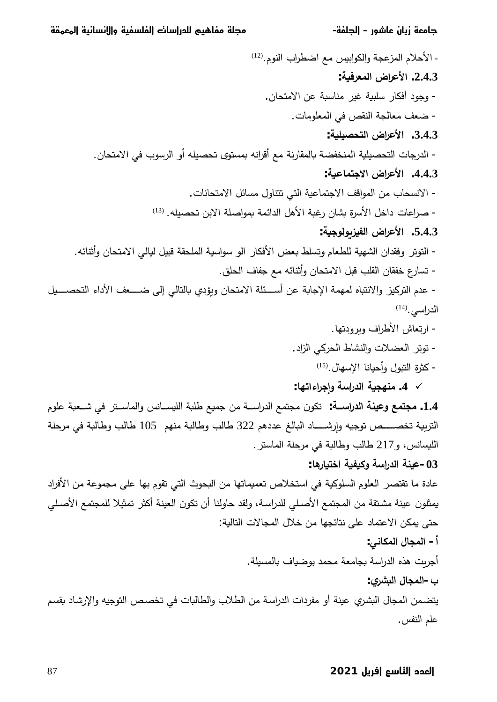. الأحلام المزعجة والكوابيس مع اضطراب النوم.<sup>(12)</sup>  **:ŗॻɼʙŶʸƃ¦µ¦ʙŵƕ¦ .2.4.3** - وجود أفكار سلبية غير مناسبة عن الامتحان. - ضعف معالجة النقص في المعلومات.  **:ŗॻƄʻʶʲʯƃ¦µ¦ʙŵƕ¦ .3.4.3** - الدرجات التحصبيلية المنخفضة بالمقارنة مع أقرانه بمستوى تحصبله أو الرسوب في الامتحان.  **:ŗॻɸœʸʯŞƙ¦µ¦ʙŵƕ¦ .4.4.3** - الانسحاب من المواقف الاجتماعية التي تتتاول مسائل الامتحانات. – صراعات داخل الأسرة بشان رغبة الأهل الدائمة بمواصلة الابن تحصيله. <sup>(13</sup>  **:ŗॻŞʦƃʦȂʚʻŽƃ¦µ¦ʙŵƕ¦ .5.4.3** – التوتر وفقدان الشهية للطعام وتسلط بعض الأفكار الو سواسية الملحقة قبيل ليالي الامتحان وأثنائه. - تسارع خفقان القلب قبل الامتحان وأثنائه مع جفاف الحلق. – عدم التركيز والانتباه لمهمة الإجابة عن أســئلة الامتحان ويؤدي بالتالي إلى ضـــعف الأداء التحصـــيل للدراسي. $^{(14)}$ - ارتعاش الأطراف وبرودتها. - توتر العضلات والنشاط الحركي الزاد. - كثرة التبول وأحيانا الإسهال.<sup>(15)</sup>  **:œƌř¦ ¦ʙŞȀÂŗŪ¦°ʗƃ¦ŗॻʱƌʹƆ .4** 9 ÀʨƆŷřॼɻ»»»»ŮƓžʛʱ»»»»Ŭŕʺƅ§ÃʝƊŕ»»»»ʶॽƆƅ§řॼƆʡŶॽʺŠʧƈř»»»»Ŭ§±ʙƅ§Ŷʺʱʳƈ Áʨؔś **:ŗºººŪ¦°ʗƃ¦ŗʹʻŵÂŴʸʯʱƆ .1.4** التربية تخصــــص توجيه وإرشـــــاد البالغ عددهم 322 طالب وطالبة منهم 105 طالب وطالبة في مرحلة الليسانس، و217 طالب وطالبة في مرحلة الماستر.  **:œƋ°œॻʯŤ¦ŗॻɽॻؕÂŗŪ¦°ʗƃ¦ŗʹʻŵ-03** عادة ما تقتصر العلوم السلوكية في استخلاص تعميماتها من البحوث التي تقوم بها على مجموعة من الأفراد يمثلون عينة مشتقة من المجتمع الأصلي للدراسة، ولقد حاولنا أن تكون العينة أكثر تمثيلا للمجتمع الأصلي حتى يمكن الاعتماد على نتائجها من خلال المجالات التالية: أ – المجال المكان*ي*: أجربت هذه الدراسة بجامعة محمد بوضياف بالمسيلة.  **:ȏʙʵॺƃ¦¾œʱʸƃ¦-§** يتضمن المجال البشري عينة أو مفردات الدراسة من الطلاب والطالبات في تخصص التوجيه والإرشاد بقسم علم النفس.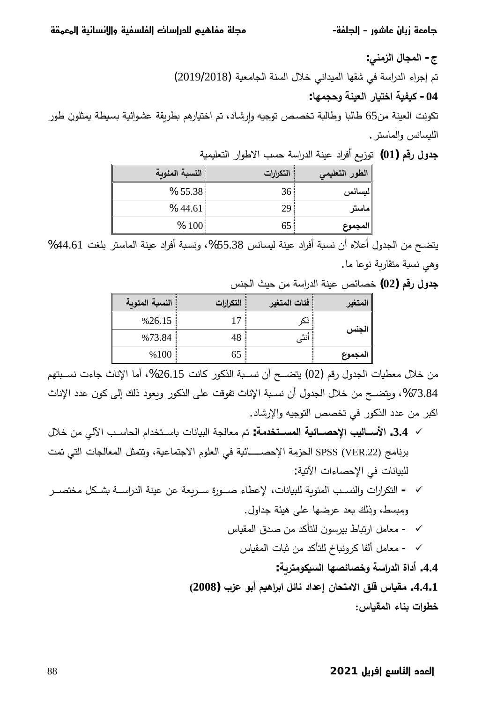ج- المجال الزمن*ي*: تم إجراء الدراسة في شقها الميداني خلال السنة الجامعية (2019/2018)  **:œƌʸʱšÂŗʹʻŶƃ¦°œॻʯŤ¦ŗॻɽॻؕ -04**

تكونت العينة من65 طالبا وطالبة تخصص توجيه وإرشاد، تم اختيارهم بطريقة عشوائية بسيطة يمثلون طور الليسانس والماستر .

| الطور التعليمي | التكرارات       | النسبة المئوبة |
|----------------|-----------------|----------------|
| ليسانس         | 36 <sup>1</sup> | % 55.38        |
| ماستر          | 29              | %44.61         |
| المجموع        | 65              | % 100          |

řॽʺॽƆŸʱƅ§±§ʨʡƛ§ʖʶţřŬ§±ʙƅ§řʻʽŷ¯§ʛž£ŶȄ²ʨś **(01 ) ʤſ°¾ÂʗŞ**

يتضح من الجدول أعلاه أن نسبة أفراد عينة ليسانس 55.38%، ونسبة أفراد عينة الماستر بلغت 44.61% وهي نسبة متقاربة نوعا ما.

ʝʻʳƅ§ʘʽţʧƈřŬ§±ʙƅ§řʻʽŷʟœŕʸŦ **(02 ) ʤſ°¾ÂʗŞ**

| لمتغير  | فئات المتغير | التكرارات | النسبة المئوبة |
|---------|--------------|-----------|----------------|
|         |              | 17        | %26.15         |
| الجنس   | أنثى         | 48        | %73.84         |
| المجموع |              | 65        | %100           |

من خلال معطيات الجدول رقم (02) يتضـــح أن نســبة الذكور كانت 26.15%، أما الإناث جاءت نســبتهم %73.84، وبتضـح من خلال الجدول أن نسـبة الإناث تفوقت على الذكور وبعود ذلك إلى كون عدد الإناث اكبر من عدد الذكور في تخصص التوجيه والإرشاد.

- ¿ƜŦʧƈƓƅƕ§ʖ»»»»Ŭŕʴƅ§À§ʙʵʱ»»»»ŬŕǼªŕƊŕॽʰƅ§řʳƅŕŸƈʦś **:ŗƆʗʳʯºººʴʸƃ¦ŗॻőœºººʶšƗ¦ʔʻƃœºººŪƕ¦ .3.4** 9 برنامج SPSS (VER.22) الحزمة الإحصـــــائية في العلوم الاجتماعية، وتتمثل المعالجات التي تمت للبيانات في الإحصاءات الآتية:
- ʛ»»»»ʸʱʵƈȈȞ»»»»ʷǼř»»»»Ŭ§±ʙƅ§řʻʽŷʧŷřŸȄʛ»»»»Ŭ©±ʨ»»»»Ű¡ŕʢŷƙªŕƊŕॽʰƆƅřȄʨʯʺƅ§ʖ»»»»ʶʻƅ§Ãª§±§ʛؔʱƅ§ **-** 9 ومبسط، وذلك بعد عرضها على هيئة جداول.
	- √ − معامل ارتباط بيرسون للتأكد من صدق المقياس
		- √ - معامل ألفا كرونباخ للتأكد من ثبات المقياس

 **:ŗȂʙʯƆʦȜॻʴƃ¦œƌʶőœʶŤÂŗŪ¦°ʗƃ¦ ¨¦®¢ .4.4**

**(2008 ) §ʚŵʦŕ¢ʤॻʀ¦ʙŕ¦Ȇőœƈ®¦ʗŵ¤ÀœʲʯƆƙ¦ȖƄſ²œॻɿƆ .4.4 .1** خطوات بناء المقباس: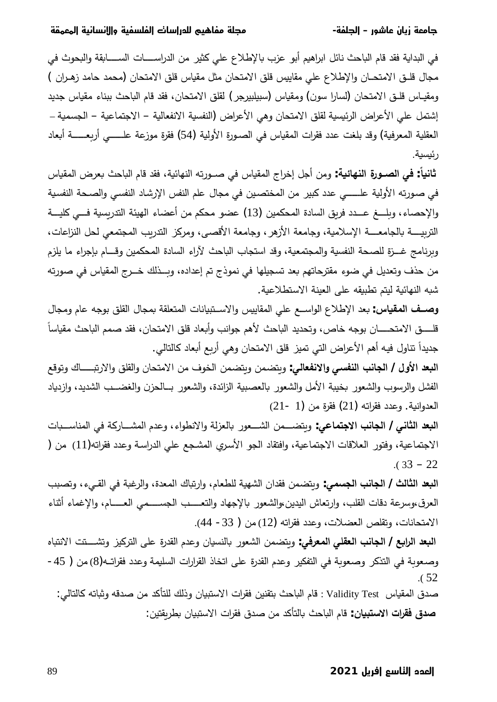في البداية فقد قام الباحث نائل ابراهيم أبو عزب بالإطلاع على كثير من الدراســــات الســــابقة والبحوث في مجال قلـق الامتحـان والإطلاع على مقاييس قلق الامتحان مثل مقياس قلق الامتحان (محمد حامد زهـران ) ومقيـاس قلـق الامتحان (لسارا سون) ومقياس (سبيلبيرجر) لقلق الامتحان، فقد قام الباحث ببناء مقياس جديد إشتمل على الأعراض الرئيسية لقلق الامتحان وهي الأعراض (النفسية الانفعالية – الاجتماعية – الجسمية – العقلية المعرفية) وقد بلغت عدد فقرات المقياس في الصـورة الأولية (54) فقرة موزعة علـــــي أربعـــــة أبعاد ر ئيسية.

ثانياً: في الصــورة النـهائيـة: ومن أجل إخراج المقياس في صــورته النهائية، فقد قام الباحث بعرض المقياس في صورته الأولية علـــــي عدد كبير من المختصين في مجال علم النفس الإرشاد النفسي والصـحة النفسية والإحصاء، وبلـــغ عـــدد فربق السادة المحكمين (13) عضو محكم من أعضاء الهيئة التدريسية فـــي كليـــة التربيــــة بالجامعــــة الإسلامية، وجامعة الأزهر ، وجامعة الأقصــي، ومركز النتربيب المجتمعي لحل النزاعات، وبرنامج غــزة للصـحة النفسية والمجتمعية، وقد استجاب الباحث لآراء السادة المحكمين وقـــام بإجراء ما يلزم من حذف وتعديل في ضوء مقترحاتهم بعد تسجيلها في نموذج تم إعداده، وبــذلك خــرج المقياس في صورته شبه النهائية ليتم تطبيقه على العينة الاستطلاعية.

وصف المقياس: بعد الإطلاع الواسـع على المقاييس والاســتبيانات المتعلقة بمجال القلق بوجه عام ومجال قلــــــق الامتحـــــــان بوجه خاص، وتحديد الباحث لأهم جوانب وأبعاد قلق الامتحان، فقد صمم الباحث مقياسا جديداً تناول فيه أهم الأعراض التي تميز قلق الامتحان وهي أربع أبعاد كالتالي.

ا**لبعد الأول / الجانب النفسي والانفعالي**: وبتضمن وبتضمن الخوف من الامتحان والقلق والارتبـــــاك وتوقع الفشل والرسوب والشعور بخيبة الأمل والشعور بالعصبية الزائدة، والشعور بسالحزن والغضسب الشديد، وازدياد (21 - 1) العدوانية. وعدد فقراته (1 $(21 \text{ m/s})$  فقرة من

ا**لبعد الثاني / الجانب الاجتماعي**: وبتضـــمن الشـــعور بالعزلة والانطواء، وعدم المشـــاركة في المناســـبات الاجتماعية، وفتور العلاقات الاجتماعية، وافتقاد الجو الأسري المشجع على الدراسة وعدد فقراته(11) من (  $(33 - 22)$ 

ا**لبعد الثالث / الجانب الجسمي**: وبتضمن فقدان الشهية للطعام، وارتباك المعدة، والرغبة في القـيء، وتصبب العرق،وسرعة دقات القلب، وارتعاش اليدين،والشعور بالإجهاد والتعــــب الجســــمي العـــــام، والإغماء أثناء الامتحانات، وتقلص العضلات، وعدد فقراته (12) من ( 33- 44).

ا**لبعد الرابع / الجانب العقلي المعرفي**: ويتضمن الشعور بالنسيان وعدم القدرة على التركيز وتشـــتت الانتباه وصعوبة في التذكر وصعوبة في التفكير وعدم القدرة على اتخاذ القرارات السليمة وعدد فقراتـه(8) من ( 45-.( 52

صدق المقياس Validity Test : قام الباحث بتقنين فقرات الاستبيان وذلك للتأكد من صدقه وثباته كالتالي: ص**دق فقرات الاستبيان** : قام الباحث بالتأكد من صدق فقرات الاستبيان بطربقتين :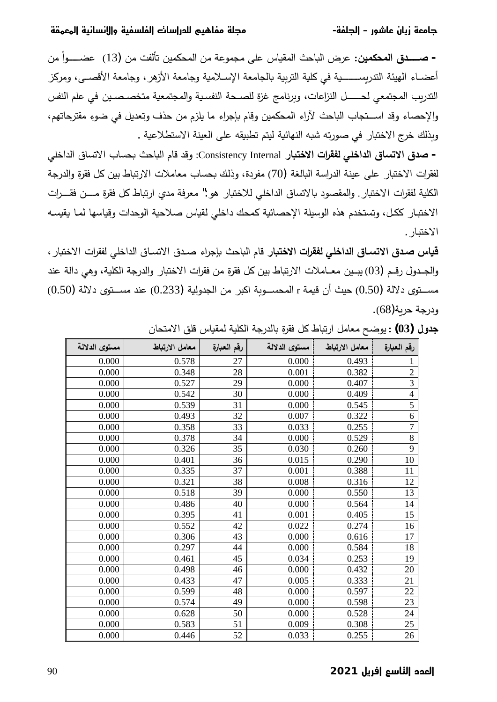– **صـــــدق المحكمين:** عرض الباحث المقياس على مجموعة من المحكمين تألفت من (13) عضـــــواً من أعضـاء الهيئة التدريســـــــية في كلية التربية بالجامعة الإسـلامية وجامعة الأزهر ، وجامعة الأقصـــي، ومركز التدربب المجتمعي لحــــــل النزاعات، وبرنامج غزة للصــحة النفسية والمجتمعية متخصـصـين في علم النفس والإحصاء وقد اســتجاب الباحث لآراء المحكمين وقام بإجراء ما يلزم من حذف وتعديل في ضوء مقترحاتهم، وبذلك خرج الاختبار في صورته شبه النهائية ليتم تطبيقه على العينة الاستطلاعية .

− **صدق الاتساق الداخلي لفقرات الاختبا**ر Consistency Internal: وقد قام الباحث بحساب الاتساق الداخلي لفقرات الاختبار على عينة الدراسة البالغة (70) مفردة، وذلك بحساب معاملات الارتباط بين كل فقرة والدرجة الكلية لفقرات الاختبار . والمقصود بالاتساق الداخلي للاختبار هو :" معرفة مدى ارتباط كل فقرة مــــن فقــــرات الاختبار ككل، وتستخدم هذه الوسيلة الإحصائية كمحك داخلي لقياس صلاحية الوحدات وقياسها لما يقيسه الاختبار .

قياس صدق الاتساق الداخلي لفقرات الاختبار قام الباحث بإجراء صدق الاتساق الداخلي لفقرات الاختبار ، والجـدول رقـم (03) يبـين معـاملات الارتباط بين كل فقرة من فقرات الاختبار والدرجة الكلية، وهي دالة عند مســتوى دلالة (0.50) حيث أن قيمة r المحســوبة اكبر من الجدولية (0.233) عند مســتوى دلالة (0.50) ودرجة حربة(68).

| مستوى الدلالة | معامل الارتباط | رقم العبارة | مستوى الدلالة | معامل الارتباط | رقم العبارة    |
|---------------|----------------|-------------|---------------|----------------|----------------|
| 0.000         | 0.578          | 27          | 0.000         | 0.493          | 1              |
| 0.000         | 0.348          | 28          | 0.001         | 0.382          | $\overline{c}$ |
| 0.000         | 0.527          | 29          | 0.000         | 0.407          | $\overline{3}$ |
| 0.000         | 0.542          | 30          | 0.000         | 0.409          | $\overline{4}$ |
| 0.000         | 0.539          | 31          | 0.000         | 0.545          | 5              |
| 0.000         | 0.493          | 32          | 0.007         | 0.322          | 6              |
| 0.000         | 0.358          | 33          | 0.033         | 0.255          | $\overline{7}$ |
| 0.000         | 0.378          | 34          | 0.000         | 0.529          | 8              |
| 0.000         | 0.326          | 35          | 0.030         | 0.260          | $\overline{9}$ |
| 0.000         | 0.401          | 36          | 0.015         | 0.290          | 10             |
| 0.000         | 0.335          | 37          | 0.001         | 0.388          | 11             |
| 0.000         | 0.321          | 38          | 0.008         | 0.316          | 12             |
| 0.000         | 0.518          | 39          | 0.000         | 0.550          | 13             |
| 0.000         | 0.486          | 40          | 0.000         | 0.564          | 14             |
| 0.000         | 0.395          | 41          | 0.001         | 0.405          | 15             |
| 0.000         | 0.552          | 42          | 0.022         | 0.274          | 16             |
| 0.000         | 0.306          | 43          | 0.000         | 0.616          | 17             |
| 0.000         | 0.297          | 44          | 0.000         | 0.584          | 18             |
| 0.000         | 0.461          | 45          | 0.034         | 0.253          | 19             |
| 0.000         | 0.498          | 46          | 0.000         | 0.432          | 20             |
| 0.000         | 0.433          | 47          | 0.005         | 0.333          | 21             |
| 0.000         | 0.599          | 48          | 0.000         | 0.597          | 22             |
| 0.000         | 0.574          | 49          | 0.000         | 0.598          | 23             |
| 0.000         | 0.628          | 50          | 0.000         | 0.528          | 24             |
| 0.000         | 0.583          | 51          | 0.009         | 0.308          | 25             |
| 0.000         | 0.446          | 52          | 0.033         | 0.255          | 26             |

Áŕʴʱƈƛ§ȘƆƁ³ŕॽʁʺƅřॽƆؔƅ§řбʙƅŕǼ©ʛƂžȈؗȋŕॼś±§ȈƈŕŸƈŢŲʨƔ **: (03 ) ¾ÂʗŞ**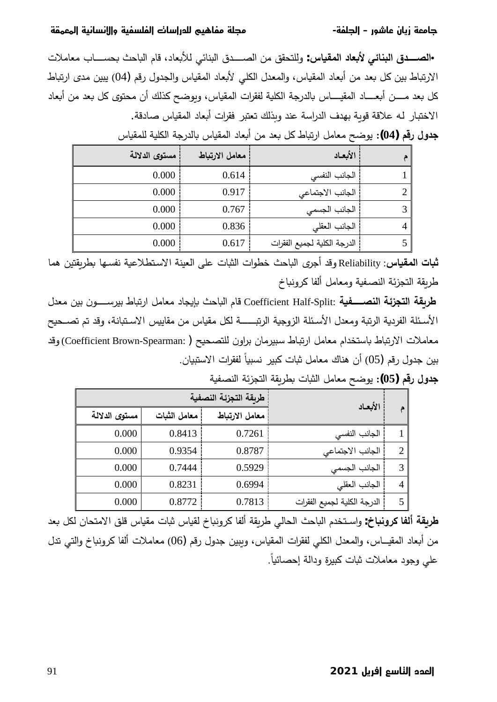# **ŜƠƬƔƬƧĒŜƼƯŖżƯǃĒĮ ŜƼƜżƨƜƧĒĕŖŻĒĜŲƨƧƪƼƳŖƜƫŜƨŨƫ -ŜƜƨŨƧĒ –ĜƶſŖƓĬŖƻĝŜƔƫŖŧ**

 ªƜƈŕŸƈ¨ŕ»»»»»»»ʶʴǼʘţŕॼƅ§ÀŕƁ¯ŕŸǼƘƅƓœŕʻʰƅ§½ʙ»»»»»»»ʸƅ§ʧƈȘƂʴʱƆƅÃ **:²œॻɿʸƃ¦®œŶǺƕƑőœʹʮƃ¦¼ʗºººººººʶƃ¦•**  الارتباط بين كل بعد من أبعاد المقياس، والمعدل الكلي لأبعاد المقياس والجدول رقم (04) يبين مدى ارتباط كل بعد مــــن أبعــــاد المقيـــــاس بالدرجة الكلية لفقرات المقياس، ويوضـح كذلك أن محتوى كل بعد من أبعاد الاختبار له علاقة قوبة بهدف الدراسة عند وبذلك تعتبر فقرات أبعاد المقياس صادقة.

| الأبعاد                     | معامل الارتباط | مستوى الدلالة |
|-----------------------------|----------------|---------------|
| الجانب النفسي               | 0.614          | 0.000         |
| الجانب الاجتماعي            | 0.917          | 0.000         |
| الجانب الجسمي               | 0.767          | 0.000         |
| الجانب العقلي               | 0.836          | 0.000         |
| الدرجة الكلية لجميع الفقرات | 0.617          | 0.000         |

³ŕॽʁʺƆƅřॽƆؔƅ§řбʙƅŕǼ³ŕॽʁʺƅ§¯ŕŸǼ£ʧƈʙŸǼȈؗȋŕॼś±§ȈƈŕŸƈŢŲʨƔ **: (04 ) ʤſ°¾ÂʗŞ**

ث**بات المقياس**: Reliability وقد أجرى الباحث خطوات الثبات على العينة الاستطلاعية نفسها بطريقتين هما طرىقة التجزئة النصىفية ومعامل ألفا كرونباخ

¿ʙŸƈ ʧʽŗ Áʨ»»»»»»»Ŭʛʽŗȋŕॼś±§ȈƈŕŸƈ¯ŕʳǽŐǼʘţŕॼƅ§ÀŕƁ Coefficient Half-Split: **ŗॻɽººººººººʶʹƃ¦ŗőʚʱʯƃ¦ŗƀȂʙʟ** الأسئلة الفردية الرتبة ومعدل الأسئلة الزوجية الرتبـــــــة لكل مقياس من مقاييس الاستبانة، وقد تم تصـحيح معاملات الارتباط باستخدام معامل ارتباط سبيرمان براون للتصحيح ( Coefficient Brown-Spearman:) وقد بين جدول رقم (05) أن هناك معامل ثبات كبير نسبياً لفقرات الاستبيان.

|               | طربقة التجزئة النصفية | الأبعاد        |                             |                |
|---------------|-----------------------|----------------|-----------------------------|----------------|
| مستوى الدلالة | معامل الثبات          | معامل الارتباط |                             |                |
| 0.000         | 0.8413                | 0.7261         | الجانب النفسى               |                |
| 0.000         | 0.9354                | 0.8787         | الجانب الاجتماعي            | 2              |
| 0.000         | 0.7444                | 0.5929         | الجانب الجسمى               |                |
| 0.000         | 0.8231                | 0.6994         | الجانب العقلى               | $\overline{4}$ |
| 0.000         | 0.8772                | 0.7813         | الدرجة الكلية لجميع الفقرات |                |

řॽɿʸʻƅ§řœʜʳʱƅ§řƂȄʛʢǼªŕॼʲƅ§ȈƈŕŸƈŢŲʨƔ **: (05 ) ʤſ°¾ÂʗŞ**

طربقة ألفا كرونباخ: واسـتخدم الباحث الحالي طربقة ألفا كرونباخ لقياس ثبات مقياس قلق الامتحان لكل بعد من أبعاد المقيـــاس، والمعدل الكلي لفقرات المقياس، ويبين جدول رقم (06) معاملات ألفا كرونباخ والتـي تدل على وجود معاملات ثبات كبيرة ودالة إحصائياً.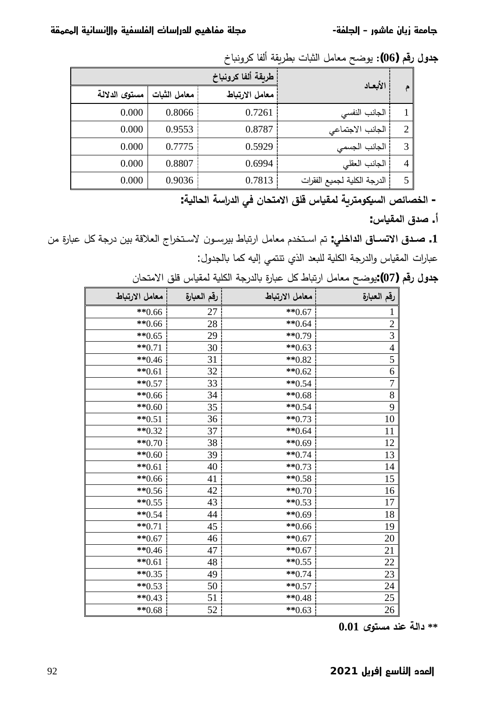®ŕॼƊÃʛؗŕſƅ£řƂȄʛʢǼªŕॼʲƅ§ȈƈŕŸƈŢŲʨƔ **: (06 ) ʤſ°¾ÂʗŞ**

| الأبعاد                     | طربقة ألفا كرونباخ |              |               |  |  |
|-----------------------------|--------------------|--------------|---------------|--|--|
|                             | معامل الارتباط     | معامل الثبات | مستوى الدلالة |  |  |
| الجانب النفسي               | 0.7261             | 0.8066       | 0.000         |  |  |
| الجانب الاجتماعي            | 0.8787             | 0.9553       | 0.000         |  |  |
| الجانب الجسمى               | 0.5929             | 0.7775       | 0.000         |  |  |
| الجانب العقلى               | 0.6994             | 0.8807       | 0.000         |  |  |
| الدرجة الكلية لجميع الفقرات | 0.7813             | 0.9036       | 0.000         |  |  |

- الخصائص السيكومترية لمقياس قلق الامتحان ف*ي* الدراسة الحالية:

أ. صدق المقياس:

ʧƈ©±ŕॼɺȈؗřб¯ʧʽŗřƁƜŸƅ§¬§ʛʵʱ»»»Ŭƛ Áʨ»»Ŭʛʽŗȋŕॼś±§ȈƈŕŸƈÀʙʵʱ»»»Ŭ§ʦś **:ƑƄŤ¦ʗƃ¦¼œººʴřƙ¦¼ʗººŮ .1** عبارات المقياس والدرجة الكلية للبعد الذي تتتمي إليه كما بالجدول:

| معامل الارتباط | رقم العبارة | معامل الارتباط | رقم العبارة    |
|----------------|-------------|----------------|----------------|
| $**0.66$       | 27          | $**0.67$       |                |
| $**0.66$       | 28          | $**0.64$       | $\overline{c}$ |
| $**0.65$       | 29          | **0.79         | 3              |
| $**0.71$       | 30          | $**0.63$       | $\overline{4}$ |
| $**0.46$       | 31          | $**0.82$       | 5              |
| $**0.61$       | 32          | $**0.62$       | 6              |
| $**0.57$       | 33          | $**0.54$       | $\overline{7}$ |
| $**0.66$       | 34          | $**0.68$       | $\overline{8}$ |
| $**0.60$       | 35          | $**0.54$       | 9              |
| $**0.51$       | 36          | $**0.73$       | 10             |
| $**0.32$       | 37          | $**0.64$       | 11             |
| $**0.70$       | 38          | $**0.69$       | 12             |
| $**0.60$       | 39          | $**0.74$       | 13             |
| $**0.61$       | 40          | $**0.73$       | 14             |
| $**0.66$       | 41          | $**0.58$       | 15             |
| $**0.56$       | 42          | $**0.70$       | 16             |
| $**0.55$       | 43          | $**0.53$       | $17\,$         |
| $**0.54$       | 44          | $**0.69$       | 18             |
| $**0.71$       | 45          | $**0.66$       | 19             |
| $**0.67$       | 46          | $**0.67$       | 20             |
| $**0.46$       | 47          | $**0.67$       | 21             |
| $*$ $0.61$     | 48          | $**0.55$       | 22             |
| $**0.35$       | 49          | $**0.74$       | 23             |
| $**0.53$       | 50          | $**0.57$       | 24             |
| $**0.43$       | 51          | $**0.48$       | 25             |
| $**0.68$       | 52          | $**0.63$       | 26             |

ج**دول رقم (07)**:يوضح معامل ارتباط كل عبارة بالدرجة الكلية لمقياس قلق الامتحان

 **0.01 ȎʦʯʴƆʗʹŵŗƃ¦® \*\***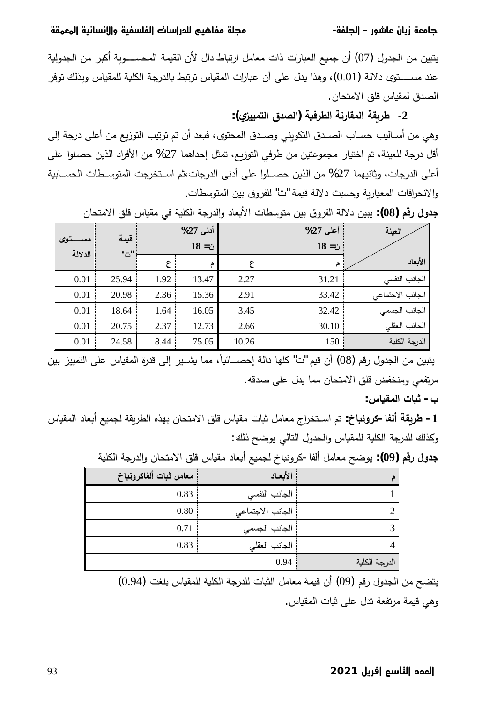يتبين من الجدول (07) أن جميع العبارات ذات معامل ارتباط دال لأن القيمة المحســــوبة أكبر من الجدولية عند مســـــتوي دلالة (0.01)، وهذا يدل على أن عبارات المقياس ترتبط بالدرجة الكلية للمقياس وبذلك توفر الصدق لمقياس قلق الامتحان.

 **:(ȏʚʻʻʸʯƃ¦¼ʗʶƃ¦) ŗॻɼʙʠƃ¦ŗƈ°œƀʸƃ¦ŗƀȂʙʟ -2** وهي من أسـاليب حسـاب الصـدق التكويني وصـدق المحتوي، فبعد أن تم ترتيب التوزيع من أعلى درجة إلى أقل درجة للعينة، تم اختيار مجموعتين من طرفي التوزيع، تمثل إحداهما 27% من الأفراد الذين حصلوا على أعلى الدرجات، وثانيهما 27% من الذين حصــلوا على أدنى الدرجات،ثم اسـتخرجت المتوسـطات الـحســابية والانحرافات المعيارية وحسبت دلالة قيمة "ت" للفروق بين المتوسطات.

| تنوى    | قيمة          |      | أدنى 27%<br>$18 = 1$ ن |       | أعلى 27%<br>$18 = 1$ | العينة           |
|---------|---------------|------|------------------------|-------|----------------------|------------------|
| الدلالة | $"\triangle"$ | ع    |                        | ع     |                      | الأبعاد          |
| 0.01    | 25.94         | 1.92 | 13.47                  | 2.27  | 31.21                | الجانب النفسى    |
| 0.01    | 20.98         | 2.36 | 15.36                  | 2.91  | 33.42                | الجانب الاجتماعي |
| 0.01    | 18.64         | 1.64 | 16.05                  | 3.45  | 32.42                | الجانب الجسمي    |
| 0.01    | 20.75         | 2.37 | 12.73                  | 2.66  | 30.10                | الجانب العقلى    |
| 0.01    | 24.58         | 8.44 | 75.05                  | 10.26 | 150                  | الدرجة الكلية    |

جدول رقم (08): يبين دلالة الفروق بين متوسطات الأبعاد والدرجة الكلية في مقياس قلق الامتحان

يتبين من الجدول رقم (08) أن قيم "ت" كلها دالة إحصـــائياً، مما يشــير ۖ إلى قدرة المقياس على التمييز بين مرتفعي ومنخفض قلق الامتحان مما يدل على صدقه.

 **:²œॻɿʸƃ¦©œॺś -§**

 ³ŕॽʁʺƅ§¯ŕŸǼ£ŶॽʺʳƅřƂȄʛʢƅ§ƋʚƎŗÁŕʴʱƈƛ§ȘƆƁ³ŕॽʁƈªŕॼŝȈƈŕŸƈ¬§ʛʵʱ»»»Ŭ§ʦś **:œॺƈÂʙƂ-œŽƃ¢ŗƀȂʙʟ -1** وكذلك للدرجة الكلية للمقياس والجدول التالي يوضح ذلك:

|      |                        |  | —روب ب—ب ب       | $(-7.4)$      |
|------|------------------------|--|------------------|---------------|
|      | معامل ثبات ألفاكرونباخ |  | الأبعاد          |               |
|      | 0.83                   |  | الجانب النفسي    |               |
|      | 0.80                   |  | الجانب الاجتماعي | ↑             |
|      | 0.71                   |  | الجانب الجسمي    | 3             |
|      | 0.83                   |  | الجانب العقلي    | 4             |
| 0.94 |                        |  |                  | الدرجة الكلية |

جدول رقم (99): يوضح معامل ألفا−كرونياخ لجميع أبعاد مقياس قلق الامتحان والدرجة الكلية

يتضح من الجدول رقم (0.9) أن قيمة معامل الثبات للدرجة الكلية للمقياس بلغت (0.94) وهي قيمة مرتفعة تدل على ثبات المقياس.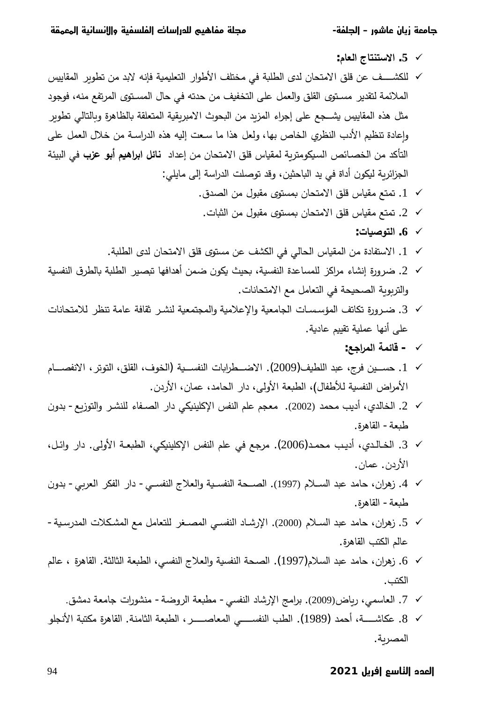- **:¿œŶƃ¦«œʯʹʯŪƙ¦ .5** 9
- ʝॽƔŕƂʺƅ§ʛȄʨʢśʧƈʙŗƛƌƊŐžřॽʺॽƆŸʱƅ§±§ʨʡƗ§ȆƆʱʵƈƓžřॼƆʢƅ§ȐʙƅÁŕʴʱƈƛ§ ȘƆƁʧŷȆ»»»»»»»»ʷؔƆƅ 9 الملائمة لتقدير مسـتوي القلق والعمل على التخفيف من حدته في حال المسـتوي المرتفع منه، فوجود مثل هذه المقاييس يشـجع على إجراء المزيد من البحوث الامبريقية المتعلقة بالظاهرة وبالتالي تطوير وإعادة تنظيم الأدب النظري الخاص بها، ولعل هذا ما سعت إليه هذه الدراسـة من خلال العمل على التأكد من الخصـائص السيكومتربـة لمقياس قلق الامتحان من إعداد **نـائل ابراهيم أبو عزب** في البيئة الجزائرية ليكون أداة في يد الباحثين، وقد توصلت الدراسة إلى مايلي:
	- ا. تمتع مقياس قلق الامتحان بمستوى مقبول من الصدق.  $1\;\;\checkmark$
	- × 2. تمتع مقياس قلق الامتحان بمستوى مقبول من الشات.
		- **:©œॻŮʦʯƃ¦ .6** 9
	- ا. الاستفادة من المقياس الحالي في الكشف عن مستوى قلق الامتحان لدى الطلبة V $1$
- خرورة إنشاء مراكز للمساعدة النفسية، بحيث يكون ضمن أهدافها تبصير الطلبة بالطرق النفسية × وفي التفسية لا والتربوبة الصحيحة في التعامل مع الامتحانات.
- خرورة تكاتف المؤسسات الجامعية والإعلامية والمجتمعية لنشر ثقافة عامة تنظر للامتحانات V على أنها عملية تقييم عادية.
	- **∕ قائمة المراجع:**
- ك 1 حســين فرج، عبد اللطيف(2009). الاضـــطرابات النفســية (الخوف، القلق، التوتر ، الانفصـــام الأمراض النفسية للأطفال)، الطبعة الأولى، دار الحامد، عمان، الأردن.
- ÁÃʙŗ -ŶȄ²ʨʱƅ§Ãʛ»»ʷʻƆƅ¡ŕſ»»ʸƅ§±§¯ƓȞॽʻʽƆƄƙ§ʝſʻƅ§ʦƆŷʦʳŸƈ .(2002)ʙʺʴƈʖƔ¯£ȑʙƅŕʵƅ§ .2 9 طبعة- القاهرة.
- Ȉ»»œ§Ã ±§¯ .ƑƅÃƗ§ř»»Ÿॼʢƅ§ ƓȞॽʻʽƆƄƙ§ ʝſʻƅ§ʦƆŷ ƓžŶŠʛƈ .(2006 )ʙ»»ʺʴƈ ʖ»»Ɣ¯£ ȑʙ»»ƅŕ»»ʵƅ§ .3 9 الأردن. عمان.
- ÁÃʙŗ -ƓȃʛŸƅ§ʛؔſƅ§±§¯ -Ɠ»»»ʶſʻƅ§¬ƜŸƅ§Ãřॽ»»»ʶſʻƅ§řʴ»»»ʸƅ§ .(1997)ÀƜ»»»ʶƅ§ʙʰŷʙƈŕţÁ§ʛƍ² .4 9 طبعة− القاهرة.
- × 5. زهران، حامد عبد السـلام (2000). الإرشـاد النفسـي المصــغر للتعامل مـع المشـكلات المدرسـية− عالم الكتب القاهرة.
- خ 6. زهِران، حامد عبد السلام(1997). الصحة النفسية والعلاج النفسي، الطبعة الثالثة. القاهرة ، عالم У́ الكتب .
	- × 7. العاسمي، رباض(2009). برامج الإرشاد النفسي- مطبعة الروضة- منشورات جامعة دمشق.
- $\sim 8$ . عكاشـــــة، أحمد (1989). الطب النفســــي المعاصـــــر ، الطبعة الثامنة. القاهرة مكتبة الأنجلو المصربة.

94 **2021 ƦƻŶƛĒ ƒŻŖŠƧĒĚŲƔƧĒ**